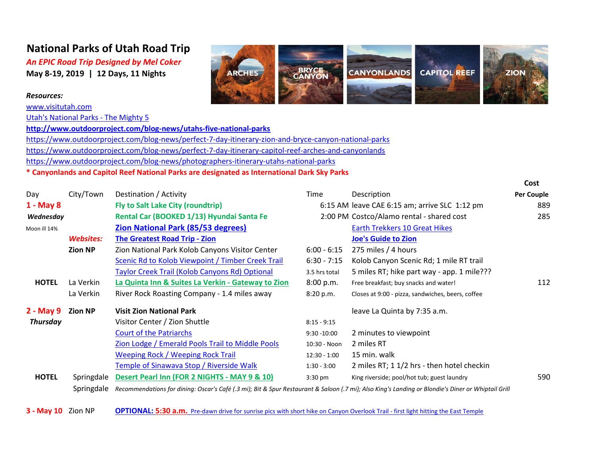## **National Parks of Utah Road Trip**

*An EPIC Road Trip Designed by Mel Coker* **May 8-19, 2019 | 12 Days, 11 Nights**

## *Resources:*

[www.visitutah.com](http://www.visitutah.com/)

[Utah's National Parks - The Mighty 5](http://www.visitutah.com/places-to-go/most-visited-parks/the-mighty-5/)

**<http://www.outdoorproject.com/blog-news/utahs-five-national-parks>**

<https://www.outdoorproject.com/blog-news/perfect-7-day-itinerary-zion-and-bryce-canyon-national-parks> <https://www.outdoorproject.com/blog-news/perfect-7-day-itinerary-capitol-reef-arches-and-canyonlands> <https://www.outdoorproject.com/blog-news/photographers-itinerary-utahs-national-parks>

**\* Canyonlands and Capitol Reef National Parks are designated as International Dark Sky Parks**

|                 |                  |                                                                                                                                                    |                |                                                   | cost              |
|-----------------|------------------|----------------------------------------------------------------------------------------------------------------------------------------------------|----------------|---------------------------------------------------|-------------------|
| Day             | City/Town        | Destination / Activity                                                                                                                             | Time           | Description                                       | <b>Per Couple</b> |
| $1 - May 8$     |                  | Fly to Salt Lake City (roundtrip)                                                                                                                  |                | 6:15 AM leave CAE 6:15 am; arrive SLC 1:12 pm     | 889               |
| Wednesday       |                  | Rental Car (BOOKED 1/13) Hyundai Santa Fe                                                                                                          |                | 2:00 PM Costco/Alamo rental - shared cost         | 285               |
| Moon ill 14%    |                  | <b>Zion National Park (85/53 degrees)</b>                                                                                                          |                | <b>Earth Trekkers 10 Great Hikes</b>              |                   |
|                 | <b>Websites:</b> | <b>The Greatest Road Trip - Zion</b>                                                                                                               |                | <b>Joe's Guide to Zion</b>                        |                   |
|                 | <b>Zion NP</b>   | Zion National Park Kolob Canyons Visitor Center                                                                                                    | $6:00 - 6:15$  | 275 miles / 4 hours                               |                   |
|                 |                  | Scenic Rd to Kolob Viewpoint / Timber Creek Trail                                                                                                  | $6:30 - 7:15$  | Kolob Canyon Scenic Rd; 1 mile RT trail           |                   |
|                 |                  | Taylor Creek Trail (Kolob Canyons Rd) Optional                                                                                                     | 3.5 hrs total  | 5 miles RT; hike part way - app. 1 mile???        |                   |
| <b>HOTEL</b>    | La Verkin        | La Quinta Inn & Suites La Verkin - Gateway to Zion                                                                                                 | 8:00 p.m.      | Free breakfast; buy snacks and water!             | 112               |
|                 | La Verkin        | River Rock Roasting Company - 1.4 miles away                                                                                                       | 8:20 p.m.      | Closes at 9:00 - pizza, sandwiches, beers, coffee |                   |
| 2 - May 9       | <b>Zion NP</b>   | <b>Visit Zion National Park</b>                                                                                                                    |                | leave La Quinta by 7:35 a.m.                      |                   |
| <b>Thursday</b> |                  | Visitor Center / Zion Shuttle                                                                                                                      | $8:15 - 9:15$  |                                                   |                   |
|                 |                  | <b>Court of the Patriarchs</b>                                                                                                                     | $9:30 - 10:00$ | 2 minutes to viewpoint                            |                   |
|                 |                  | Zion Lodge / Emerald Pools Trail to Middle Pools                                                                                                   | 10:30 - Noon   | 2 miles RT                                        |                   |
|                 |                  | <b>Weeping Rock / Weeping Rock Trail</b>                                                                                                           | $12:30 - 1:00$ | 15 min. walk                                      |                   |
|                 |                  | Temple of Sinawava Stop / Riverside Walk                                                                                                           | $1:30 - 3:00$  | 2 miles RT; 1 1/2 hrs - then hotel checkin        |                   |
| <b>HOTEL</b>    | Springdale       | Desert Pearl Inn (FOR 2 NIGHTS - MAY 9 & 10)                                                                                                       | $3:30$ pm      | King riverside; pool/hot tub; guest laundry       | 590               |
|                 | Springdale       | Recommendations for dining: Oscar's Café (.3 mi); Bit & Spur Restaurant & Saloon (.7 mi); Also King's Landing or Blondie's Diner or Whiptail Grill |                |                                                   |                   |

**3 - May 10** Zion NP **[OPTIONAL: 5:30 a.m.](https://www.citrusmilo.com/zionguide/photography.cfm)** [Pre-dawn drive for sunrise pics with short hike on Canyon Overlook Trail - first light hitting the East Temple](https://www.citrusmilo.com/zionguide/photography.cfm)



**Cost**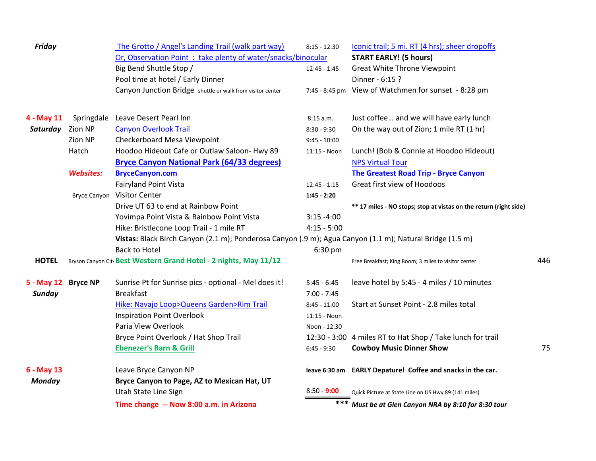| <b>Friday</b>       |                     | The Grotto / Angel's Landing Trail (walk part way)                                                       | $8:15 - 12:30$ | Iconic trail; 5 mi. RT (4 hrs); sheer dropoffs                    |     |
|---------------------|---------------------|----------------------------------------------------------------------------------------------------------|----------------|-------------------------------------------------------------------|-----|
|                     |                     | Or, Observation Point: take plenty of water/snacks/binocular                                             |                | <b>START EARLY! (5 hours)</b>                                     |     |
|                     |                     | Big Bend Shuttle Stop /                                                                                  | $12:45 - 1:45$ | <b>Great White Throne Viewpoint</b>                               |     |
|                     |                     | Pool time at hotel / Early Dinner                                                                        |                | Dinner - 6:15 ?                                                   |     |
|                     |                     | Canyon Junction Bridge shuttle or walk from visitor center                                               |                | 7:45 - 8:45 pm View of Watchmen for sunset - 8:28 pm              |     |
| 4 - May 11          | Springdale          | Leave Desert Pearl Inn                                                                                   | 8:15 a.m.      | Just coffee and we will have early lunch                          |     |
| Saturday Zion NP    |                     | <b>Canyon Overlook Trail</b>                                                                             | $8:30 - 9:30$  | On the way out of Zion; 1 mile RT (1 hr)                          |     |
|                     | Zion NP             | Checkerboard Mesa Viewpoint                                                                              | $9:45 - 10:00$ |                                                                   |     |
|                     | Hatch               | Hoodoo Hideout Cafe or Outlaw Saloon- Hwy 89                                                             | 11:15 - Noon   | Lunch! (Bob & Connie at Hoodoo Hideout)                           |     |
|                     |                     | <b>Bryce Canyon National Park (64/33 degrees)</b>                                                        |                | <b>NPS Virtual Tour</b>                                           |     |
|                     | <b>Websites:</b>    | <b>BryceCanyon.com</b>                                                                                   |                | <b>The Greatest Road Trip - Bryce Canyon</b>                      |     |
|                     |                     | <b>Fairyland Point Vista</b>                                                                             | $12:45 - 1:15$ | Great first view of Hoodoos                                       |     |
|                     | <b>Bryce Canyon</b> | <b>Visitor Center</b>                                                                                    | $1:45 - 2:20$  |                                                                   |     |
|                     |                     | Drive UT 63 to end at Rainbow Point                                                                      |                | ** 17 miles - NO stops; stop at vistas on the return (right side) |     |
|                     |                     | Yovimpa Point Vista & Rainbow Point Vista                                                                | $3:15 - 4:00$  |                                                                   |     |
|                     |                     | Hike: Bristlecone Loop Trail - 1 mile RT                                                                 | $4:15 - 5:00$  |                                                                   |     |
|                     |                     | Vistas: Black Birch Canyon (2.1 m); Ponderosa Canyon (.9 m); Agua Canyon (1.1 m); Natural Bridge (1.5 m) |                |                                                                   |     |
|                     |                     | <b>Back to Hotel</b>                                                                                     | 6:30 pm        |                                                                   |     |
| <b>HOTEL</b>        |                     | Bryson Canyon City Best Western Grand Hotel - 2 nights, May 11/12                                        |                | Free Breakfast; King Room; 3 miles to visitor center              | 446 |
| 5 - May 12 Bryce NP |                     | Sunrise Pt for Sunrise pics - optional - Mel does it!                                                    | $5:45 - 6:45$  | leave hotel by 5:45 - 4 miles / 10 minutes                        |     |
| Sunday              |                     | <b>Breakfast</b>                                                                                         | $7:00 - 7:45$  |                                                                   |     |
|                     |                     | Hike: Navajo Loop>Queens Garden>Rim Trail                                                                | $8:45 - 11:00$ | Start at Sunset Point - 2.8 miles total                           |     |
|                     |                     | <b>Inspiration Point Overlook</b>                                                                        | 11:15 - Noon   |                                                                   |     |
|                     |                     | Paria View Overlook                                                                                      | Noon - 12:30   |                                                                   |     |
|                     |                     | Bryce Point Overlook / Hat Shop Trail                                                                    |                | 12:30 - 3:00 4 miles RT to Hat Shop / Take lunch for trail        |     |
|                     |                     | <b>Ebenezer's Barn &amp; Grill</b>                                                                       | $6:45 - 9:30$  | <b>Cowboy Music Dinner Show</b>                                   | 75  |
| 6 - May 13          |                     | Leave Bryce Canyon NP                                                                                    |                | leave 6:30 am EARLY Depature! Coffee and snacks in the car.       |     |
| <b>Monday</b>       |                     | Bryce Canyon to Page, AZ to Mexican Hat, UT                                                              |                |                                                                   |     |
|                     |                     | Utah State Line Sign                                                                                     | $8:50 - 9:00$  | Quick Picture at State Line on US Hwy 89 (141 miles)              |     |
|                     |                     | Time change -- Now 8:00 a.m. in Arizona                                                                  | $***$          | Must be at Glen Canyon NRA by 8:10 for 8:30 tour                  |     |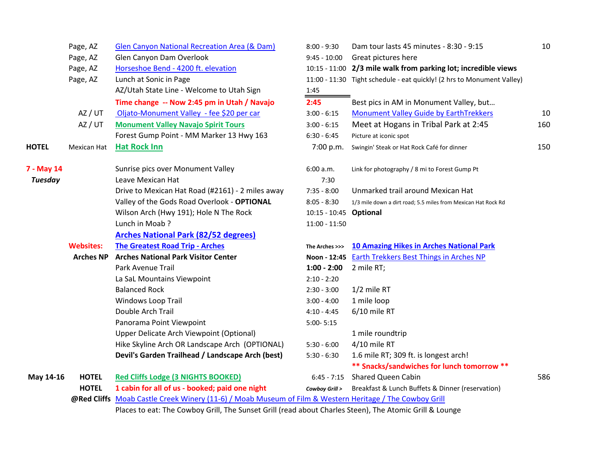|                | Page, AZ         | Glen Canyon National Recreation Area (& Dam)                                                            | $8:00 - 9:30$   | Dam tour lasts 45 minutes - 8:30 - 9:15                                | 10  |  |
|----------------|------------------|---------------------------------------------------------------------------------------------------------|-----------------|------------------------------------------------------------------------|-----|--|
|                | Page, AZ         | Glen Canyon Dam Overlook                                                                                | $9:45 - 10:00$  | Great pictures here                                                    |     |  |
|                | Page, AZ         | Horseshoe Bend - 4200 ft. elevation                                                                     |                 | 10:15 - 11:00 2/3 mile walk from parking lot; incredible views         |     |  |
|                | Page, AZ         | Lunch at Sonic in Page                                                                                  |                 | 11:00 - 11:30 Tight schedule - eat quickly! (2 hrs to Monument Valley) |     |  |
|                |                  | AZ/Utah State Line - Welcome to Utah Sign                                                               | 1:45            |                                                                        |     |  |
|                |                  | Time change -- Now 2:45 pm in Utah / Navajo                                                             | 2:45            | Best pics in AM in Monument Valley, but                                |     |  |
|                | AZ / UT          | Oljato-Monument Valley - fee \$20 per car                                                               | $3:00 - 6:15$   | <b>Monument Valley Guide by EarthTrekkers</b>                          | 10  |  |
|                | AZ / UT          | <b>Monument Valley Navajo Spirit Tours</b>                                                              | $3:00 - 6:15$   | Meet at Hogans in Tribal Park at 2:45                                  | 160 |  |
|                |                  | Forest Gump Point - MM Marker 13 Hwy 163                                                                | $6:30 - 6:45$   | Picture at iconic spot                                                 |     |  |
| <b>HOTEL</b>   | Mexican Hat      | <b>Hat Rock Inn</b>                                                                                     | 7:00 p.m.       | Swingin' Steak or Hat Rock Café for dinner                             | 150 |  |
| 7 - May 14     |                  | Sunrise pics over Monument Valley                                                                       | 6:00 a.m.       | Link for photography / 8 mi to Forest Gump Pt                          |     |  |
| <b>Tuesday</b> |                  | Leave Mexican Hat                                                                                       | 7:30            |                                                                        |     |  |
|                |                  | Drive to Mexican Hat Road (#2161) - 2 miles away                                                        | $7:35 - 8:00$   | Unmarked trail around Mexican Hat                                      |     |  |
|                |                  | Valley of the Gods Road Overlook - OPTIONAL                                                             | $8:05 - 8:30$   | 1/3 mile down a dirt road; 5.5 miles from Mexican Hat Rock Rd          |     |  |
|                |                  | Wilson Arch (Hwy 191); Hole N The Rock                                                                  | $10:15 - 10:45$ | Optional                                                               |     |  |
|                |                  | Lunch in Moab?                                                                                          | $11:00 - 11:50$ |                                                                        |     |  |
|                |                  | <b>Arches National Park (82/52 degrees)</b>                                                             |                 |                                                                        |     |  |
|                | <b>Websites:</b> | <b>The Greatest Road Trip - Arches</b>                                                                  | The Arches >>>  | <b>10 Amazing Hikes in Arches National Park</b>                        |     |  |
|                | <b>Arches NP</b> | <b>Arches National Park Visitor Center</b>                                                              |                 | Noon - 12:45 Earth Trekkers Best Things in Arches NP                   |     |  |
|                |                  | Park Avenue Trail                                                                                       | $1:00 - 2:00$   | 2 mile RT;                                                             |     |  |
|                |                  | La SaL Mountains Viewpoint                                                                              | $2:10 - 2:20$   |                                                                        |     |  |
|                |                  | <b>Balanced Rock</b>                                                                                    | $2:30 - 3:00$   | $1/2$ mile RT                                                          |     |  |
|                |                  | Windows Loop Trail                                                                                      | $3:00 - 4:00$   | 1 mile loop                                                            |     |  |
|                |                  | Double Arch Trail                                                                                       | $4:10 - 4:45$   | 6/10 mile RT                                                           |     |  |
|                |                  | Panorama Point Viewpoint                                                                                | $5:00 - 5:15$   |                                                                        |     |  |
|                |                  | Upper Delicate Arch Viewpoint (Optional)                                                                |                 | 1 mile roundtrip                                                       |     |  |
|                |                  | Hike Skyline Arch OR Landscape Arch (OPTIONAL)                                                          | $5:30 - 6:00$   | 4/10 mile RT                                                           |     |  |
|                |                  | Devil's Garden Trailhead / Landscape Arch (best)                                                        | $5:30 - 6:30$   | 1.6 mile RT; 309 ft. is longest arch!                                  |     |  |
|                |                  |                                                                                                         |                 | ** Snacks/sandwiches for lunch tomorrow **                             |     |  |
| May 14-16      | <b>HOTEL</b>     | <b>Red Cliffs Lodge (3 NIGHTS BOOKED)</b>                                                               | $6:45 - 7:15$   | <b>Shared Queen Cabin</b>                                              | 586 |  |
|                | <b>HOTEL</b>     | 1 cabin for all of us - booked; paid one night                                                          | Cowboy Grill >  | Breakfast & Lunch Buffets & Dinner (reservation)                       |     |  |
|                |                  | @Red Cliffs Moab Castle Creek Winery (11-6) / Moab Museum of Film & Western Heritage / The Cowboy Grill |                 |                                                                        |     |  |
|                |                  | Places to eat: The Cowboy Grill, The Sunset Grill (read about Charles Steen), The Atomic Grill & Lounge |                 |                                                                        |     |  |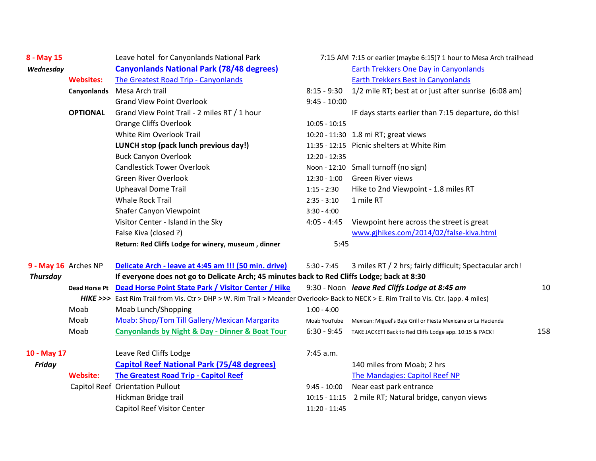| 8 - May 15           |                  | Leave hotel for Canyonlands National Park                                                                                              |                 | 7:15 AM 7:15 or earlier (maybe 6:15)? 1 hour to Mesa Arch trailhead |     |  |
|----------------------|------------------|----------------------------------------------------------------------------------------------------------------------------------------|-----------------|---------------------------------------------------------------------|-----|--|
| Wednesday            |                  | <b>Canyonlands National Park (78/48 degrees)</b>                                                                                       |                 | Earth Trekkers One Day in Canyonlands                               |     |  |
|                      | <b>Websites:</b> | <b>The Greatest Road Trip - Canyonlands</b>                                                                                            |                 | <b>Earth Trekkers Best in Canyonlands</b>                           |     |  |
|                      | Canyonlands      | Mesa Arch trail                                                                                                                        | $8:15 - 9:30$   | 1/2 mile RT; best at or just after sunrise (6:08 am)                |     |  |
|                      |                  | <b>Grand View Point Overlook</b>                                                                                                       | $9:45 - 10:00$  |                                                                     |     |  |
|                      | <b>OPTIONAL</b>  | Grand View Point Trail - 2 miles RT / 1 hour                                                                                           |                 | IF days starts earlier than 7:15 departure, do this!                |     |  |
|                      |                  | <b>Orange Cliffs Overlook</b>                                                                                                          | $10:05 - 10:15$ |                                                                     |     |  |
|                      |                  | White Rim Overlook Trail                                                                                                               |                 | 10:20 - 11:30 1.8 mi RT; great views                                |     |  |
|                      |                  | LUNCH stop (pack lunch previous day!)                                                                                                  |                 | 11:35 - 12:15 Picnic shelters at White Rim                          |     |  |
|                      |                  | <b>Buck Canyon Overlook</b>                                                                                                            | $12:20 - 12:35$ |                                                                     |     |  |
|                      |                  | <b>Candlestick Tower Overlook</b>                                                                                                      |                 | Noon - 12:10 Small turnoff (no sign)                                |     |  |
|                      |                  | <b>Green River Overlook</b>                                                                                                            |                 | 12:30 - 1:00 Green River views                                      |     |  |
|                      |                  | <b>Upheaval Dome Trail</b>                                                                                                             | $1:15 - 2:30$   | Hike to 2nd Viewpoint - 1.8 miles RT                                |     |  |
|                      |                  | <b>Whale Rock Trail</b>                                                                                                                | $2:35 - 3:10$   | 1 mile RT                                                           |     |  |
|                      |                  | Shafer Canyon Viewpoint                                                                                                                | $3:30 - 4:00$   |                                                                     |     |  |
|                      |                  | Visitor Center - Island in the Sky                                                                                                     | $4:05 - 4:45$   | Viewpoint here across the street is great                           |     |  |
|                      |                  | False Kiva (closed ?)                                                                                                                  |                 | www.gjhikes.com/2014/02/false-kiva.html                             |     |  |
|                      |                  | Return: Red Cliffs Lodge for winery, museum, dinner                                                                                    | 5:45            |                                                                     |     |  |
| 9 - May 16 Arches NP |                  | Delicate Arch - leave at 4:45 am !!! (50 min. drive)                                                                                   | $5:30 - 7:45$   | 3 miles RT / 2 hrs; fairly difficult; Spectacular arch!             |     |  |
| <b>Thursday</b>      |                  | If everyone does not go to Delicate Arch; 45 minutes back to Red Cliffs Lodge; back at 8:30                                            |                 |                                                                     |     |  |
|                      | Dead Horse Pt    | Dead Horse Point State Park / Visitor Center / Hike                                                                                    |                 | 9:30 - Noon leave Red Cliffs Lodge at 8:45 am                       | 10  |  |
|                      |                  | HIKE >>> East Rim Trail from Vis. Ctr > DHP > W. Rim Trail > Meander Overlook> Back to NECK > E. Rim Trail to Vis. Ctr. (app. 4 miles) |                 |                                                                     |     |  |
|                      | Moab             | Moab Lunch/Shopping                                                                                                                    | $1:00 - 4:00$   |                                                                     |     |  |
|                      | Moab             | Moab: Shop/Tom Till Gallery/Mexican Margarita                                                                                          | Moab YouTube    | Mexican: Miguel's Baja Grill or Fiesta Mexicana or La Hacienda      |     |  |
|                      | Moab             | <b>Canyonlands by Night &amp; Day - Dinner &amp; Boat Tour</b>                                                                         | $6:30 - 9:45$   | TAKE JACKET! Back to Red Cliffs Lodge app. 10:15 & PACK!            | 158 |  |
| 10 - May 17          |                  | Leave Red Cliffs Lodge                                                                                                                 | 7:45 a.m.       |                                                                     |     |  |
| <b>Friday</b>        |                  | <b>Capitol Reef National Park (75/48 degrees)</b>                                                                                      |                 | 140 miles from Moab; 2 hrs                                          |     |  |
|                      | <b>Website:</b>  | <b>The Greatest Road Trip - Capitol Reef</b>                                                                                           |                 | The Mandagies: Capitol Reef NP                                      |     |  |
|                      |                  | Capitol Reef Orientation Pullout                                                                                                       | $9:45 - 10:00$  | Near east park entrance                                             |     |  |
|                      |                  | Hickman Bridge trail                                                                                                                   | $10:15 - 11:15$ | 2 mile RT; Natural bridge, canyon views                             |     |  |
|                      |                  | Capitol Reef Visitor Center                                                                                                            | $11:20 - 11:45$ |                                                                     |     |  |
|                      |                  |                                                                                                                                        |                 |                                                                     |     |  |